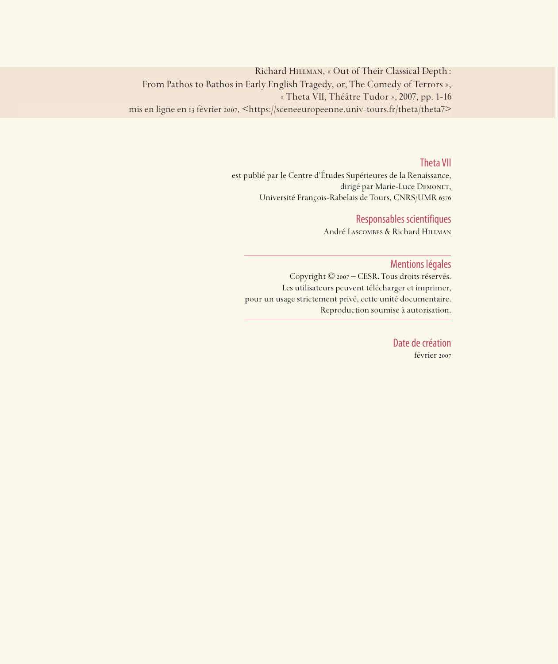Richard Hillman, « Out of Their Classical Depth : From Pathos to Bathos in Early English Tragedy, or, The Comedy of Terrors », « Theta VII, Théâtre Tudor », 2007, pp. 1-16 mis en ligne en 13 février 2007, <https://sceneeuropeenne.univ-tours.fr/theta/theta7>

# Theta VII

est publié par le Centre d'Études Supérieures de la Renaissance, dirigé par Marie-Luce DEMONET, Université François-Rabelais de Tours, CNRS/UMR

# Responsables scientifiques

André Lascombes & Richard Hillman

## Mentions légales

Copyright © 2007 – CESR. Tous droits réservés. Les utilisateurs peuvent télécharger et imprimer, pour un usage strictement privé, cette unité documentaire. Reproduction soumise à autorisation.

> Date de création février 2007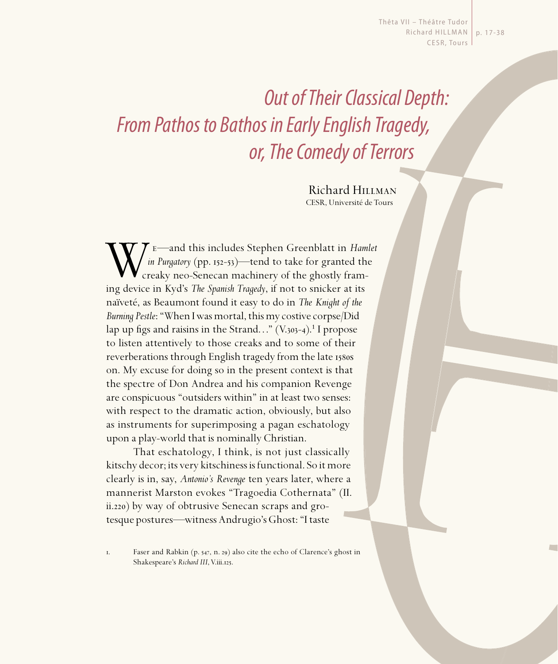Thêta VII - Théâtre Tudor Richard HILLMAN | p. 17-38 CESR, Tours

# Out of Their Classical Depth: From Pathos to Bathos in Early English Tragedy, or, The Comedy of Terrors

Richard Hillman CESR, Université de Tours

e—and this includes Stephen Greenblatt in *Hamlet in Purgatory* (pp. 152-53)—tend to take for granted the creaky neo-Senecan machinery of the ghostly framing device in Kyd's *The Spanish Tragedy*, if not to snicker at its naïveté, as Beaumont found it easy to do in *The Knight of the Burning Pestle*: "When I was mortal, this my costive corpse/Did lap up figs and raisins in the Strand..."  $(V_{.303-4})$ .<sup>1</sup> I propose to listen attentively to those creaks and to some of their reverberations through English tragedy from the late 1580s on. My excuse for doing so in the present context is that the spectre of Don Andrea and his companion Revenge are conspicuous "outsiders within" in at least two senses: with respect to the dramatic action, obviously, but also as instruments for superimposing a pagan eschatology upon a play-world that is nominally Christian.

That eschatology, I think, is not just classically kitschy decor; its very kitschiness is functional. So it more clearly is in, say, *Antonio's Revenge* ten years later, where a mannerist Marston evokes "Tragoedia Cothernata" (II. ii.220) by way of obtrusive Senecan scraps and grotesque postures—witness Andrugio's Ghost: "I taste

r. Faser and Rabkin (p. 547, n. 29) also cite the echo of Clarence's ghost in Shakespeare's *Richard III*, V.iii.125.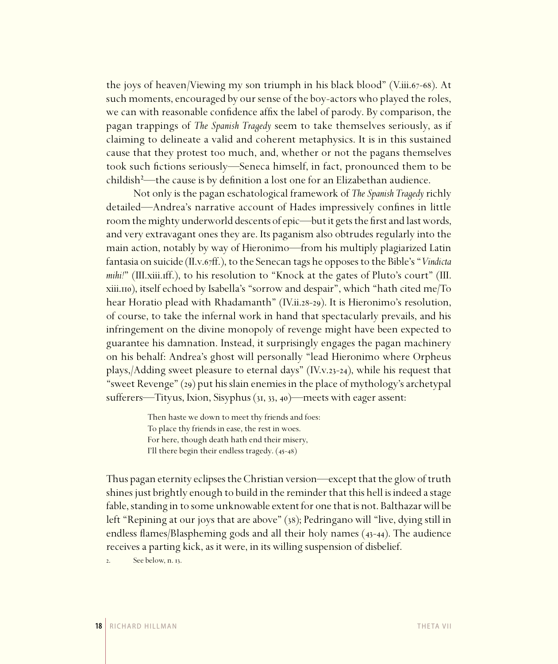the joys of heaven/Viewing my son triumph in his black blood" (V.iii.67-68). At such moments, encouraged by our sense of the boy-actors who played the roles, we can with reasonable confidence affix the label of parody. By comparison, the pagan trappings of *The Spanish Tragedy* seem to take themselves seriously, as if claiming to delineate a valid and coherent metaphysics. It is in this sustained cause that they protest too much, and, whether or not the pagans themselves took such fictions seriously—Seneca himself, in fact, pronounced them to be childish²—the cause is by definition a lost one for an Elizabethan audience.

Not only is the pagan eschatological framework of *The Spanish Tragedy* richly detailed—Andrea's narrative account of Hades impressively confines in little room the mighty underworld descents of epic—but it gets the first and last words, and very extravagant ones they are. Its paganism also obtrudes regularly into the main action, notably by way of Hieronimo—from his multiply plagiarized Latin fantasia on suicide (II.v.ff.), to the Senecan tags he opposes to the Bible's "*Vindicta mihi!*" (III.xiii.ff.), to his resolution to "Knock at the gates of Pluto's court" (III. xiii.), itself echoed by Isabella's "sorrow and despair", which "hath cited me/To hear Horatio plead with Rhadamanth" (IV.ii.28-29). It is Hieronimo's resolution, of course, to take the infernal work in hand that spectacularly prevails, and his infringement on the divine monopoly of revenge might have been expected to guarantee his damnation. Instead, it surprisingly engages the pagan machinery on his behalf: Andrea's ghost will personally "lead Hieronimo where Orpheus plays,/Adding sweet pleasure to eternal days"  $(IV.v.23-24)$ , while his request that "sweet Revenge" (29) put his slain enemies in the place of mythology's archetypal sufferers—Tityus, Ixion, Sisyphus (31, 33, 40)—meets with eager assent:

> Then haste we down to meet thy friends and foes: To place thy friends in ease, the rest in woes. For here, though death hath end their misery, I'll there begin their endless tragedy.  $(45-48)$

Thus pagan eternity eclipses the Christian version—except that the glow of truth shines just brightly enough to build in the reminder that this hell is indeed a stage fable, standing in to some unknowable extent for one that is not. Balthazar will be left "Repining at our joys that are above" (38); Pedringano will "live, dying still in endless flames/Blaspheming gods and all their holy names  $(43-44)$ . The audience receives a parting kick, as it were, in its willing suspension of disbelief.

 $\mathcal{L}$ . See below, n. 13.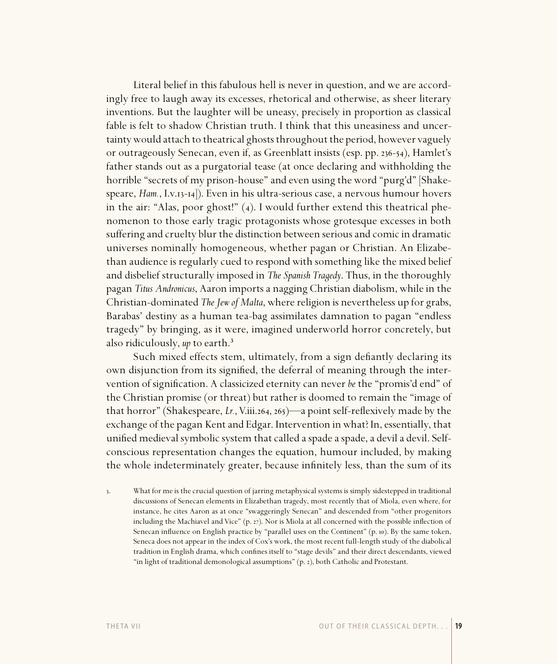Literal belief in this fabulous hell is never in question, and we are accordingly free to laugh away its excesses, rhetorical and otherwise, as sheer literary inventions. But the laughter will be uneasy, precisely in proportion as classical fable is felt to shadow Christian truth. I think that this uneasiness and uncertainty would attach to theatrical ghosts throughout the period, however vaguely or outrageously Senecan, even if, as Greenblatt insists (esp. pp. 236-54), Hamlet's father stands out as a purgatorial tease (at once declaring and withholding the horrible "secrets of my prison-house" and even using the word "purg'd" [Shakespeare, *Ham.*, I.v.13-14). Even in his ultra-serious case, a nervous humour hovers in the air: "Alas, poor ghost!"  $(4)$ . I would further extend this theatrical phenomenon to those early tragic protagonists whose grotesque excesses in both suffering and cruelty blur the distinction between serious and comic in dramatic universes nominally homogeneous, whether pagan or Christian. An Elizabethan audience is regularly cued to respond with something like the mixed belief and disbelief structurally imposed in *The Spanish Tragedy*. Thus, in the thoroughly pagan *Titus Andronicus*, Aaron imports a nagging Christian diabolism, while in the Christian-dominated *The Jew of Malta*, where religion is nevertheless up for grabs, Barabas' destiny as a human tea-bag assimilates damnation to pagan "endless tragedy" by bringing, as it were, imagined underworld horror concretely, but also ridiculously, *up* to earth.³

Such mixed effects stem, ultimately, from a sign defiantly declaring its own disjunction from its signified, the deferral of meaning through the intervention of signification. A classicized eternity can never *be* the "promis'd end" of the Christian promise (or threat) but rather is doomed to remain the "image of that horror" (Shakespeare, *Lr.*, V.iii.264, 265)—a point self-reflexively made by the exchange of the pagan Kent and Edgar. Intervention in what? In, essentially, that unified medieval symbolic system that called a spade a spade, a devil a devil. Selfconscious representation changes the equation, humour included, by making the whole indeterminately greater, because infinitely less, than the sum of its

. What for me is the crucial question of jarring metaphysical systems is simply sidestepped in traditional discussions of Senecan elements in Elizabethan tragedy, most recently that of Miola, even where, for instance, he cites Aaron as at once "swaggeringly Senecan" and descended from "other progenitors including the Machiavel and Vice" (p. 27). Nor is Miola at all concerned with the possible inflection of Senecan influence on English practice by "parallel uses on the Continent" (p. 10). By the same token, Seneca does not appear in the index of Cox's work, the most recent full-length study of the diabolical tradition in English drama, which confines itself to "stage devils" and their direct descendants, viewed "in light of traditional demonological assumptions" (p. 2), both Catholic and Protestant.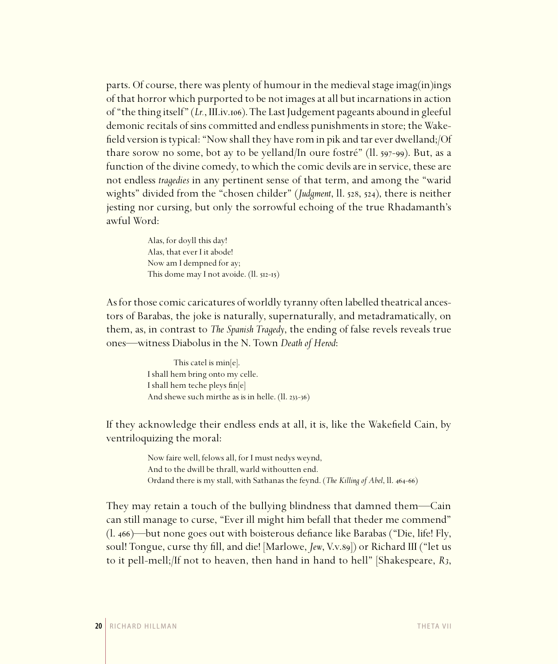parts. Of course, there was plenty of humour in the medieval stage imag(in)ings of that horror which purported to be not images at all but incarnations in action of "the thing itself" (*Lr.*, III.iv.106). The Last Judgement pageants abound in gleeful demonic recitals of sins committed and endless punishments in store; the Wakefield version is typical: "Now shall they have rom in pik and tar ever dwelland;/Of thare sorow no some, bot ay to be yelland/In oure fostré" ( $\text{ll. }$  597-99). But, as a function of the divine comedy, to which the comic devils are in service, these are not endless *tragedies* in any pertinent sense of that term, and among the "warid wights" divided from the "chosen childer" (*Judgment*, *ll.* 528, 524), there is neither jesting nor cursing, but only the sorrowful echoing of the true Rhadamanth's awful Word:

> Alas, for doyll this day! Alas, that ever I it abode! Now am I dempned for ay; This dome may I not avoide.  $(II. 5I2-I5)$

As for those comic caricatures of worldly tyranny often labelled theatrical ancestors of Barabas, the joke is naturally, supernaturally, and metadramatically, on them, as, in contrast to *The Spanish Tragedy*, the ending of false revels reveals true ones—witness Diabolus in the N. Town *Death of Herod*:

> This catel is min[e]. I shall hem bring onto my celle. I shall hem teche pleys fin[e] And shewe such mirthe as is in helle.  $(II. 233-36)$

If they acknowledge their endless ends at all, it is, like the Wakefield Cain, by ventriloquizing the moral:

> Now faire well, felows all, for I must nedys weynd, And to the dwill be thrall, warld withoutten end. Ordand there is my stall, with Sathanas the feynd. (*The Killing of Abel*, ll. 464-66)

They may retain a touch of the bullying blindness that damned them—Cain can still manage to curse, "Ever ill might him befall that theder me commend"  $(1.466)$ —but none goes out with boisterous defiance like Barabas ("Die, life! Fly, soul! Tongue, curse thy fill, and die! [Marlowe, *Jew*, V.v.89]) or Richard III ("let us to it pell-mell;/If not to heaven, then hand in hand to hell" [Shakespeare, *R*,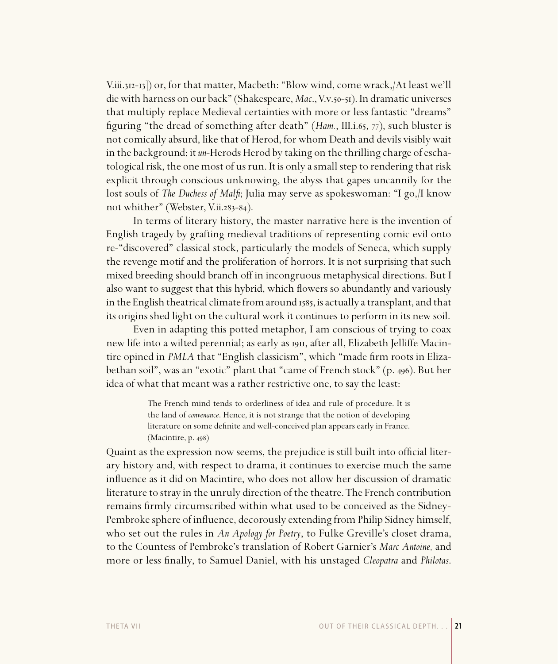$V_{\text{iii,312-I3}}$ ) or, for that matter, Macbeth: "Blow wind, come wrack,/At least we'll die with harness on our back" (Shakespeare, *Mac.*, V.v.50-51). In dramatic universes that multiply replace Medieval certainties with more or less fantastic "dreams" figuring "the dread of something after death" ( $Ham$ ,  $III.i.65, 77$ ), such bluster is not comically absurd, like that of Herod, for whom Death and devils visibly wait in the background; it *un*-Herods Herod by taking on the thrilling charge of eschatological risk, the one most of us run. It is only a small step to rendering that risk explicit through conscious unknowing, the abyss that gapes uncannily for the lost souls of *The Duchess of Malfi*; Julia may serve as spokeswoman: "I go,/I know not whither" (Webster, V.ii.283-84).

In terms of literary history, the master narrative here is the invention of English tragedy by grafting medieval traditions of representing comic evil onto re-"discovered" classical stock, particularly the models of Seneca, which supply the revenge motif and the proliferation of horrors. It is not surprising that such mixed breeding should branch off in incongruous metaphysical directions. But I also want to suggest that this hybrid, which flowers so abundantly and variously in the English theatrical climate from around 1585, is actually a transplant, and that its origins shed light on the cultural work it continues to perform in its new soil.

Even in adapting this potted metaphor, I am conscious of trying to coax new life into a wilted perennial; as early as 1911, after all, Elizabeth Jelliffe Macintire opined in *PMLA* that "English classicism", which "made firm roots in Elizabethan soil", was an "exotic" plant that "came of French stock" (p. 496). But her idea of what that meant was a rather restrictive one, to say the least:

> The French mind tends to orderliness of idea and rule of procedure. It is the land of *convenance*. Hence, it is not strange that the notion of developing literature on some definite and well-conceived plan appears early in France.  $(Macintire, p. 498)$

Quaint as the expression now seems, the prejudice is still built into official literary history and, with respect to drama, it continues to exercise much the same influence as it did on Macintire, who does not allow her discussion of dramatic literature to stray in the unruly direction of the theatre. The French contribution remains firmly circumscribed within what used to be conceived as the Sidney-Pembroke sphere of influence, decorously extending from Philip Sidney himself, who set out the rules in *An Apology for Poetry*, to Fulke Greville's closet drama, to the Countess of Pembroke's translation of Robert Garnier's *Marc Antoine,* and more or less finally, to Samuel Daniel, with his unstaged *Cleopatra* and *Philotas*.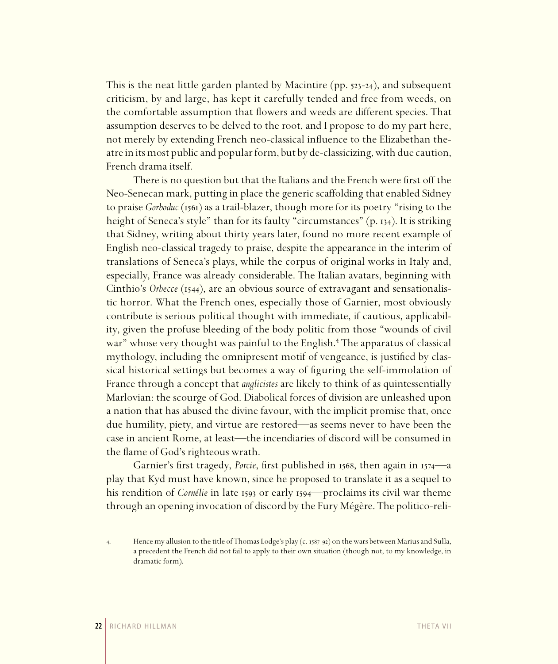This is the neat little garden planted by Macintire (pp.  $523-24$ ), and subsequent criticism, by and large, has kept it carefully tended and free from weeds, on the comfortable assumption that flowers and weeds are different species. That assumption deserves to be delved to the root, and I propose to do my part here, not merely by extending French neo-classical influence to the Elizabethan theatre in its most public and popular form, but by de-classicizing, with due caution, French drama itself.

There is no question but that the Italians and the French were first off the Neo-Senecan mark, putting in place the generic scaffolding that enabled Sidney to praise *Gorboduc* (1561) as a trail-blazer, though more for its poetry "rising to the height of Seneca's style" than for its faulty "circumstances"  $(p. 134)$ . It is striking that Sidney, writing about thirty years later, found no more recent example of English neo-classical tragedy to praise, despite the appearance in the interim of translations of Seneca's plays, while the corpus of original works in Italy and, especially, France was already considerable. The Italian avatars, beginning with Cinthio's *Orbecce* (1544), are an obvious source of extravagant and sensationalistic horror. What the French ones, especially those of Garnier, most obviously contribute is serious political thought with immediate, if cautious, applicability, given the profuse bleeding of the body politic from those "wounds of civil war" whose very thought was painful to the English.<sup>4</sup> The apparatus of classical mythology, including the omnipresent motif of vengeance, is justified by classical historical settings but becomes a way of figuring the self-immolation of France through a concept that *anglicistes* are likely to think of as quintessentially Marlovian: the scourge of God. Diabolical forces of division are unleashed upon a nation that has abused the divine favour, with the implicit promise that, once due humility, piety, and virtue are restored—as seems never to have been the case in ancient Rome, at least—the incendiaries of discord will be consumed in the flame of God's righteous wrath.

Garnier's first tragedy, *Porcie*, first published in 1568, then again in 1574—a play that Kyd must have known, since he proposed to translate it as a sequel to his rendition of *Cornélie* in late 1593 or early 1594—proclaims its civil war theme through an opening invocation of discord by the Fury Mégère. The politico-reli-

4. Hence my allusion to the title of Thomas Lodge's play (c. 1587-92) on the wars between Marius and Sulla, a precedent the French did not fail to apply to their own situation (though not, to my knowledge, in dramatic form).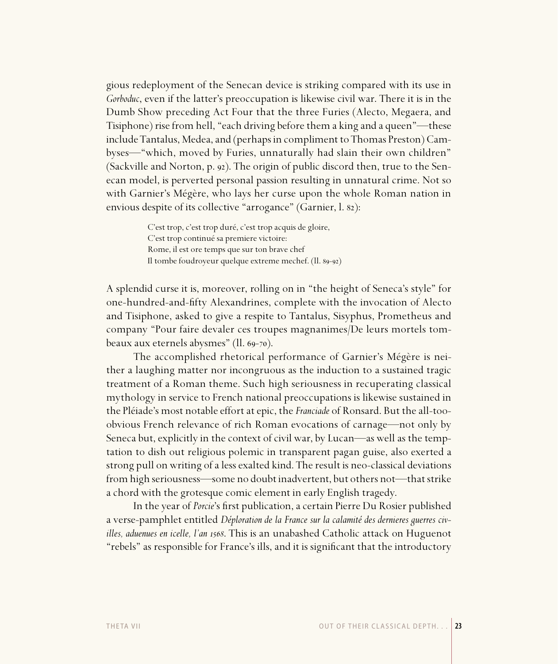gious redeployment of the Senecan device is striking compared with its use in *Gorboduc*, even if the latter's preoccupation is likewise civil war. There it is in the Dumb Show preceding Act Four that the three Furies (Alecto, Megaera, and Tisiphone) rise from hell, "each driving before them a king and a queen"—these include Tantalus, Medea, and (perhaps in compliment to Thomas Preston) Cambyses—"which, moved by Furies, unnaturally had slain their own children" (Sackville and Norton, p. 92). The origin of public discord then, true to the Senecan model, is perverted personal passion resulting in unnatural crime. Not so with Garnier's Mégère, who lays her curse upon the whole Roman nation in envious despite of its collective "arrogance" (Garnier, l. 82):

> C'est trop, c'est trop duré, c'est trop acquis de gloire, C'est trop continué sa premiere victoire: Rome, il est ore temps que sur ton brave chef Il tombe foudroyeur quelque extreme mechef. (Il. 89-92)

A splendid curse it is, moreover, rolling on in "the height of Seneca's style" for one-hundred-and-fifty Alexandrines, complete with the invocation of Alecto and Tisiphone, asked to give a respite to Tantalus, Sisyphus, Prometheus and company "Pour faire devaler ces troupes magnanimes/De leurs mortels tombeaux aux eternels abysmes" ( $\mu$ . 69-70).

The accomplished rhetorical performance of Garnier's Mégère is neither a laughing matter nor incongruous as the induction to a sustained tragic treatment of a Roman theme. Such high seriousness in recuperating classical mythology in service to French national preoccupations is likewise sustained in the Pléiade's most notable effort at epic, the *Franciade* of Ronsard. But the all-tooobvious French relevance of rich Roman evocations of carnage—not only by Seneca but, explicitly in the context of civil war, by Lucan—as well as the temptation to dish out religious polemic in transparent pagan guise, also exerted a strong pull on writing of a less exalted kind. The result is neo-classical deviations from high seriousness—some no doubt inadvertent, but others not—that strike a chord with the grotesque comic element in early English tragedy.

In the year of *Porcie's* first publication, a certain Pierre Du Rosier published a verse-pamphlet entitled *Déploration de la France sur la calamité des dernieres guerres civilles, aduenues en icelle, l'an 1568*. This is an unabashed Catholic attack on Huguenot "rebels" as responsible for France's ills, and it is significant that the introductory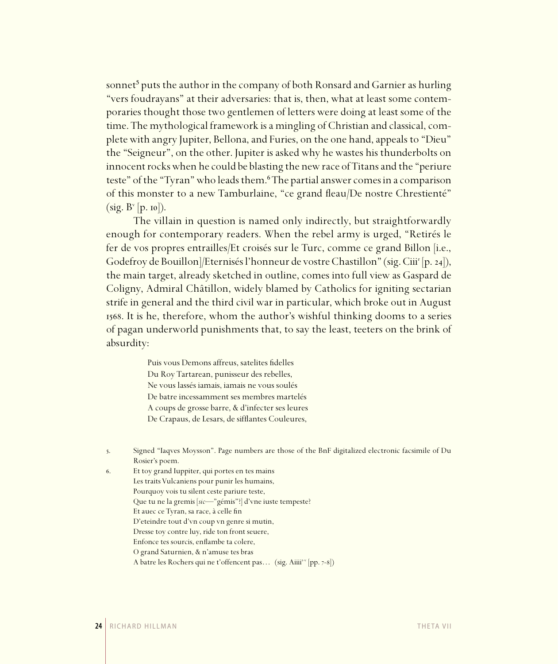sonnet<sup>5</sup> puts the author in the company of both Ronsard and Garnier as hurling "vers foudrayans" at their adversaries: that is, then, what at least some contemporaries thought those two gentlemen of letters were doing at least some of the time. The mythological framework is a mingling of Christian and classical, complete with angry Jupiter, Bellona, and Furies, on the one hand, appeals to "Dieu" the "Seigneur", on the other. Jupiter is asked why he wastes his thunderbolts on innocent rocks when he could be blasting the new race of Titans and the "periure teste" of the "Tyran" who leads them. The partial answer comes in a comparison of this monster to a new Tamburlaine, "ce grand fleau/De nostre Chrestienté"  $(sig. B^{\nu}[p.~10]).$ 

The villain in question is named only indirectly, but straightforwardly enough for contemporary readers. When the rebel army is urged, "Retirés le fer de vos propres entrailles/Et croisés sur le Turc, comme ce grand Billon [i.e., Godefroy de Bouillon]/Eternisés l'honneur de vostre Chastillon" (sig. Ciii<sup>r</sup> [p. 24]), the main target, already sketched in outline, comes into full view as Gaspard de Coligny, Admiral Châtillon, widely blamed by Catholics for igniting sectarian strife in general and the third civil war in particular, which broke out in August . It is he, therefore, whom the author's wishful thinking dooms to a series of pagan underworld punishments that, to say the least, teeters on the brink of absurdity:

> Puis vous Demons affreus, satelites fidelles Du Roy Tartarean, punisseur des rebelles, Ne vous lassés iamais, iamais ne vous soulés De batre incessamment ses membres martelés A coups de grosse barre, & d'infecter ses leures De Crapaus, de Lesars, de sifflantes Couleures,

. Et toy grand Iuppiter, qui portes en tes mains Les traits Vulcaniens pour punir les humains, Pourquoy vois tu silent ceste pariure teste, Que tu ne la gremis [*sic*—"gémis"?] d'vne iuste tempeste? Et auec ce Tyran, sa race, à celle fin D'eteindre tout d'vn coup vn genre si mutin, Dresse toy contre luy, ride ton front seuere, Enfonce tes sourcis, enflambe ta colere, O grand Saturnien, & n'amuse tes bras A batre les Rochers qui ne t'offencent pas... (sig. Aiiii<sup>r-v</sup> [pp. 7-8])

<sup>.</sup> Signed "Iaqves Moysson". Page numbers are those of the BnF digitalized electronic facsimile of Du Rosier's poem.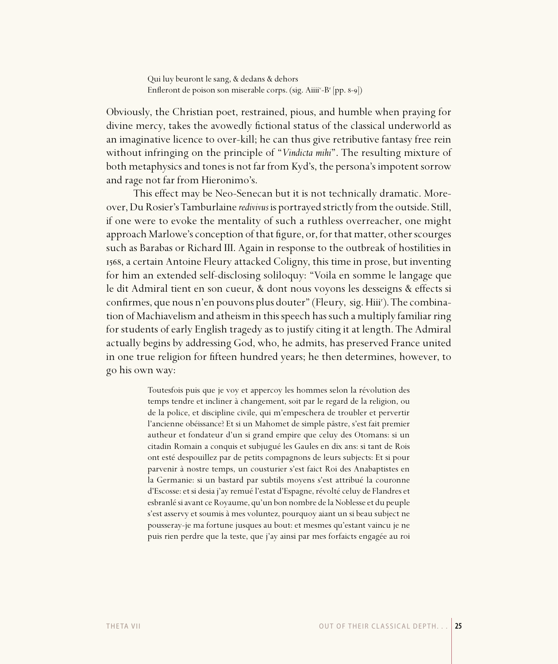Qui luy beuront le sang, & dedans & dehors Enfleront de poison son miserable corps. (sig. Aiiii'-B' [pp. 8-9])

Obviously, the Christian poet, restrained, pious, and humble when praying for divine mercy, takes the avowedly fictional status of the classical underworld as an imaginative licence to over-kill; he can thus give retributive fantasy free rein without infringing on the principle of "*Vindicta mihi*". The resulting mixture of both metaphysics and tones is not far from Kyd's, the persona's impotent sorrow and rage not far from Hieronimo's.

This effect may be Neo-Senecan but it is not technically dramatic. Moreover, Du Rosier's Tamburlaine *redivivus* is portrayed strictly from the outside. Still, if one were to evoke the mentality of such a ruthless overreacher, one might approach Marlowe's conception of that figure, or, for that matter, other scourges such as Barabas or Richard III. Again in response to the outbreak of hostilities in , a certain Antoine Fleury attacked Coligny, this time in prose, but inventing for him an extended self-disclosing soliloquy: "Voila en somme le langage que le dit Admiral tient en son cueur, & dont nous voyons les desseigns & effects si confirmes, que nous n'en pouvons plus douter" (Fleury, sig. Hiii'). The combination of Machiavelism and atheism in this speech has such a multiply familiar ring for students of early English tragedy as to justify citing it at length. The Admiral actually begins by addressing God, who, he admits, has preserved France united in one true religion for fifteen hundred years; he then determines, however, to go his own way:

> Toutesfois puis que je voy et appercoy les hommes selon la révolution des temps tendre et incliner à changement, soit par le regard de la religion, ou de la police, et discipline civile, qui m'empeschera de troubler et pervertir l'ancienne obéissance? Et si un Mahomet de simple pâstre, s'est fait premier autheur et fondateur d'un si grand empire que celuy des Otomans: si un citadin Romain a conquis et subjugué les Gaules en dix ans: si tant de Rois ont esté despouillez par de petits compagnons de leurs subjects: Et si pour parvenir à nostre temps, un cousturier s'est faict Roi des Anabaptistes en la Germanie: si un bastard par subtils moyens s'est attribué la couronne d'Escosse: et si desia j'ay remué l'estat d'Espagne, révolté celuy de Flandres et esbranlé si avant ce Royaume, qu'un bon nombre de la Noblesse et du peuple s'est asservy et soumis à mes voluntez, pourquoy aiant un si beau subject ne pousseray-je ma fortune jusques au bout: et mesmes qu'estant vaincu je ne puis rien perdre que la teste, que j'ay ainsi par mes forfaicts engagée au roi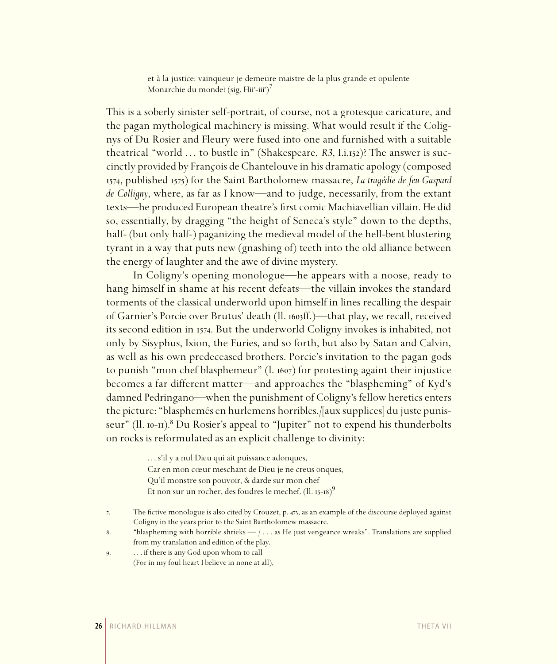et à la justice: vainqueur je demeure maistre de la plus grande et opulente Monarchie du monde? (sig. Hii<sup>r</sup>-iii<sup>r</sup>)<sup>7</sup>

This is a soberly sinister self-portrait, of course, not a grotesque caricature, and the pagan mythological machinery is missing. What would result if the Colignys of Du Rosier and Fleury were fused into one and furnished with a suitable theatrical "world ... to bustle in" (Shakespeare, R3, I.i.152)? The answer is succinctly provided by François de Chantelouve in his dramatic apology (composed , published ) for the Saint Bartholomew massacre, *La tragédie de feu Gaspard de Colligny*, where, as far as I know—and to judge, necessarily, from the extant texts—he produced European theatre's first comic Machiavellian villain. He did so, essentially, by dragging "the height of Seneca's style" down to the depths, half- (but only half-) paganizing the medieval model of the hell-bent blustering tyrant in a way that puts new (gnashing of) teeth into the old alliance between the energy of laughter and the awe of divine mystery.

In Coligny's opening monologue—he appears with a noose, ready to hang himself in shame at his recent defeats—the villain invokes the standard torments of the classical underworld upon himself in lines recalling the despair of Garnier's Porcie over Brutus' death (II. 1603ff.)—that play, we recall, received its second edition in 1574. But the underworld Coligny invokes is inhabited, not only by Sisyphus, Ixion, the Furies, and so forth, but also by Satan and Calvin, as well as his own predeceased brothers. Porcie's invitation to the pagan gods to punish "mon chef blasphemeur"  $(1.1667)$  for protesting againt their injustice becomes a far different matter—and approaches the "blaspheming" of Kyd's damned Pedringano—when the punishment of Coligny's fellow heretics enters the picture: "blasphemés en hurlemens horribles,/[aux supplices] du juste punisseur" (Il. 10-11).<sup>8</sup> Du Rosier's appeal to "Jupiter" not to expend his thunderbolts on rocks is reformulated as an explicit challenge to divinity:

> . . . s'il y a nul Dieu qui ait puissance adonques, Car en mon cœur meschant de Dieu je ne creus onques, Qu'il monstre son pouvoir, & darde sur mon chef Et non sur un rocher, des foudres le mechef.  $(II. 15-18)^9$

. . . . if there is any God upon whom to call (For in my foul heart I believe in none at all),

<sup>7.</sup> The fictive monologue is also cited by Crouzet, p. 473, as an example of the discourse deployed against Coligny in the years prior to the Saint Bartholomew massacre.

<sup>8. &</sup>quot;blaspheming with horrible shrieks  $- / ...$  as He just vengeance wreaks". Translations are supplied from my translation and edition of the play.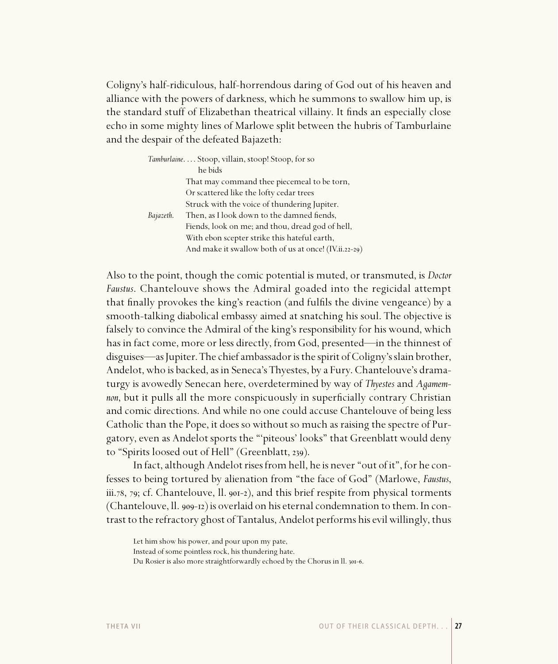Coligny's half-ridiculous, half-horrendous daring of God out of his heaven and alliance with the powers of darkness, which he summons to swallow him up, is the standard stuff of Elizabethan theatrical villainy. It finds an especially close echo in some mighty lines of Marlowe split between the hubris of Tamburlaine and the despair of the defeated Bajazeth:

| Tamburlaine. Stoop, villain, stoop! Stoop, for so |                                                       |
|---------------------------------------------------|-------------------------------------------------------|
|                                                   | he bids                                               |
|                                                   | That may command thee piecemeal to be torn,           |
|                                                   | Or scattered like the lofty cedar trees               |
|                                                   | Struck with the voice of thundering Jupiter.          |
| Bajazeth.                                         | Then, as I look down to the damned fiends,            |
|                                                   | Fiends, look on me; and thou, dread god of hell,      |
|                                                   | With ebon scepter strike this hateful earth,          |
|                                                   | And make it swallow both of us at once! (IV.ii.22-29) |

Also to the point, though the comic potential is muted, or transmuted, is *Doctor Faustus*. Chantelouve shows the Admiral goaded into the regicidal attempt that finally provokes the king's reaction (and fulfils the divine vengeance) by a smooth-talking diabolical embassy aimed at snatching his soul. The objective is falsely to convince the Admiral of the king's responsibility for his wound, which has in fact come, more or less directly, from God, presented—in the thinnest of disguises—as Jupiter. The chief ambassador is the spirit of Coligny's slain brother, Andelot, who is backed, as in Seneca's Thyestes, by a Fury. Chantelouve's dramaturgy is avowedly Senecan here, overdetermined by way of *Thyestes* and *Agamem*non, but it pulls all the more conspicuously in superficially contrary Christian and comic directions. And while no one could accuse Chantelouve of being less Catholic than the Pope, it does so without so much as raising the spectre of Purgatory, even as Andelot sports the "'piteous' looks" that Greenblatt would deny to "Spirits loosed out of Hell" (Greenblatt, 239).

In fact, although Andelot rises from hell, he is never "out of it", for he confesses to being tortured by alienation from "the face of God" (Marlowe, *Faustus*, iii.78, 79; cf. Chantelouve, ll.  $90I-2$ ), and this brief respite from physical torments (Chantelouve,  $ll$  -  $909-12$ ) is overlaid on his eternal condemnation to them. In contrast to the refractory ghost of Tantalus, Andelot performs his evil willingly, thus

Let him show his power, and pour upon my pate,

Instead of some pointless rock, his thundering hate.

Du Rosier is also more straightforwardly echoed by the Chorus in Il. 301-6.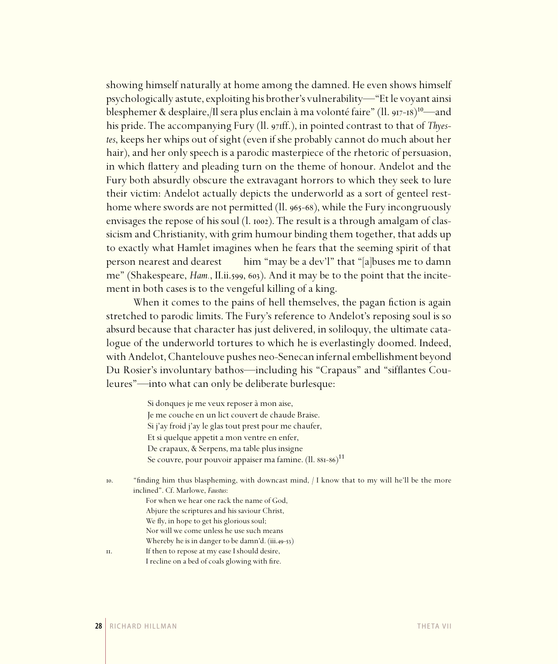showing himself naturally at home among the damned. He even shows himself psychologically astute, exploiting his brother's vulnerability—"Et le voyant ainsi blesphemer & desplaire,/Il sera plus enclain à ma volonté faire" (11.  $917-18$ )<sup>10</sup>—and his pride. The accompanying Fury (II. 97ff.), in pointed contrast to that of *Thyestes*, keeps her whips out of sight (even if she probably cannot do much about her hair), and her only speech is a parodic masterpiece of the rhetoric of persuasion, in which flattery and pleading turn on the theme of honour. Andelot and the Fury both absurdly obscure the extravagant horrors to which they seek to lure their victim: Andelot actually depicts the underworld as a sort of genteel resthome where swords are not permitted (ll. 965-68), while the Fury incongruously envisages the repose of his soul (l. 1002). The result is a through amalgam of classicism and Christianity, with grim humour binding them together, that adds up to exactly what Hamlet imagines when he fears that the seeming spirit of that person nearest and dearest him "may be a dev'l" that "[a]buses me to damn me" (Shakespeare, *Ham.*, II.ii.599, 603). And it may be to the point that the incitement in both cases is to the vengeful killing of a king.

When it comes to the pains of hell themselves, the pagan fiction is again stretched to parodic limits. The Fury's reference to Andelot's reposing soul is so absurd because that character has just delivered, in soliloquy, the ultimate catalogue of the underworld tortures to which he is everlastingly doomed. Indeed, with Andelot, Chantelouve pushes neo-Senecan infernal embellishment beyond Du Rosier's involuntary bathos—including his "Crapaus" and "sifflantes Couleures"—into what can only be deliberate burlesque:

> Si donques je me veux reposer à mon aise, Je me couche en un lict couvert de chaude Braise. Si j'ay froid j'ay le glas tout prest pour me chaufer, Et si quelque appetit a mon ventre en enfer, De crapaux, & Serpens, ma table plus insigne Se couvre, pour pouvoir appaiser ma famine. (ll. 881-86)<sup>11</sup>

. "finding him thus blaspheming, with downcast mind, / I know that to my will he'll be the more inclined". Cf. Marlowe, *Faustus*:

> For when we hear one rack the name of God, Abjure the scriptures and his saviour Christ,

We fly, in hope to get his glorious soul;

Nor will we come unless he use such means

Whereby he is in danger to be damn'd.  $(iii.49-53)$ 

. If then to repose at my ease I should desire, I recline on a bed of coals glowing with fire.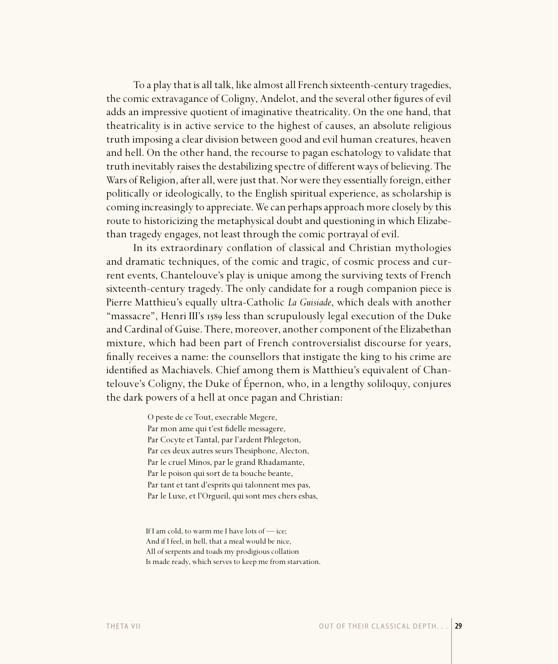To a play that is all talk, like almost all French sixteenth-century tragedies, the comic extravagance of Coligny, Andelot, and the several other figures of evil adds an impressive quotient of imaginative theatricality. On the one hand, that theatricality is in active service to the highest of causes, an absolute religious truth imposing a clear division between good and evil human creatures, heaven and hell. On the other hand, the recourse to pagan eschatology to validate that truth inevitably raises the destabilizing spectre of different ways of believing. The Wars of Religion, after all, were just that. Nor were they essentially foreign, either politically or ideologically, to the English spiritual experience, as scholarship is coming increasingly to appreciate. We can perhaps approach more closely by this route to historicizing the metaphysical doubt and questioning in which Elizabethan tragedy engages, not least through the comic portrayal of evil.

In its extraordinary conflation of classical and Christian mythologies and dramatic techniques, of the comic and tragic, of cosmic process and current events, Chantelouve's play is unique among the surviving texts of French sixteenth-century tragedy. The only candidate for a rough companion piece is Pierre Matthieu's equally ultra-Catholic *La Guisiade*, which deals with another "massacre", Henri III's 1589 less than scrupulously legal execution of the Duke and Cardinal of Guise. There, moreover, another component of the Elizabethan mixture, which had been part of French controversialist discourse for years, finally receives a name: the counsellors that instigate the king to his crime are identified as Machiavels. Chief among them is Matthieu's equivalent of Chantelouve's Coligny, the Duke of Épernon, who, in a lengthy soliloquy, conjures the dark powers of a hell at once pagan and Christian:

> O peste de ce Tout, execrable Megere, Par mon ame qui t'est fidelle messagere, Par Cocyte et Tantal, par l'ardent Phlegeton, Par ces deux autres seurs Thesiphone, Alecton, Par le cruel Minos, par le grand Rhadamante, Par le poison qui sort de ta bouche beante, Par tant et tant d'esprits qui talonnent mes pas, Par le Luxe, et l'Orgueil, qui sont mes chers esbas,

 If I am cold, to warm me I have lots of — ice; And if I feel, in hell, that a meal would be nice, All of serpents and toads my prodigious collation Is made ready, which serves to keep me from starvation.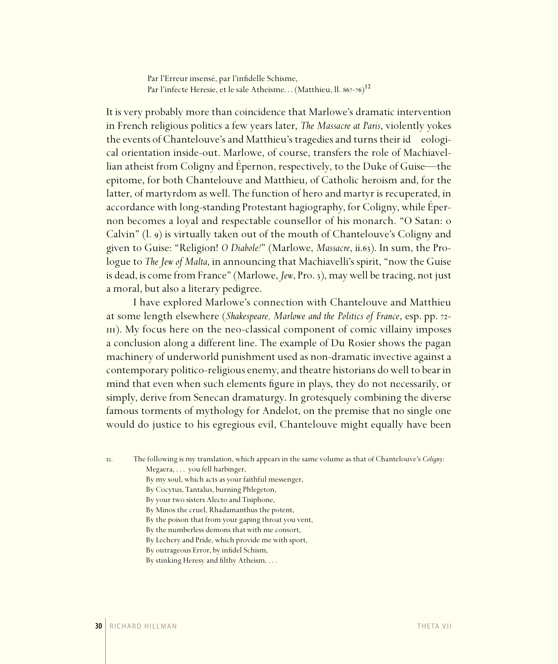Par l'Erreur insensé, par l'infidelle Schisme, Par l'infecte Heresie, et le sale Atheisme... (Matthieu, ll.  $867-76$ )<sup>12</sup>

It is very probably more than coincidence that Marlowe's dramatic intervention in French religious politics a few years later, *The Massacre at Paris*, violently yokes the events of Chantelouve's and Matthieu's tragedies and turns their id eological orientation inside-out. Marlowe, of course, transfers the role of Machiavellian atheist from Coligny and Épernon, respectively, to the Duke of Guise—the epitome, for both Chantelouve and Matthieu, of Catholic heroism and, for the latter, of martyrdom as well. The function of hero and martyr is recuperated, in accordance with long-standing Protestant hagiography, for Coligny, while Épernon becomes a loyal and respectable counsellor of his monarch. "O Satan: o Calvin" (l. ) is virtually taken out of the mouth of Chantelouve's Coligny and given to Guise: "Religion! *O Diabole!*" (Marlowe, *Massacre*, ii.). In sum, the Prologue to *The Jew of Malta*, in announcing that Machiavelli's spirit, "now the Guise is dead, is come from France" (Marlowe, *Jew*, Pro. 3), may well be tracing, not just a moral, but also a literary pedigree.

I have explored Marlowe's connection with Chantelouve and Matthieu at some length elsewhere (*Shakespeare, Marlowe and the Politics of France*, esp. pp. - ). My focus here on the neo-classical component of comic villainy imposes a conclusion along a different line. The example of Du Rosier shows the pagan machinery of underworld punishment used as non-dramatic invective against a contemporary politico-religious enemy, and theatre historians do well to bear in mind that even when such elements figure in plays, they do not necessarily, or simply, derive from Senecan dramaturgy. In grotesquely combining the diverse famous torments of mythology for Andelot, on the premise that no single one would do justice to his egregious evil, Chantelouve might equally have been

. The following is my translation, which appears in the same volume as that of Chantelouve's *Coligny*: Megaera, . . . you fell harbinger,

- By my soul, which acts as your faithful messenger,
- By Cocytus, Tantalus, burning Phlegeton,
- By your two sisters Alecto and Tisiphone,
- By Minos the cruel, Rhadamanthus the potent,
- By the poison that from your gaping throat you vent,
- By the numberless demons that with me consort,
- By Lechery and Pride, which provide me with sport,
- By outrageous Error, by infidel Schism,
- By stinking Heresy and filthy Atheism. . . .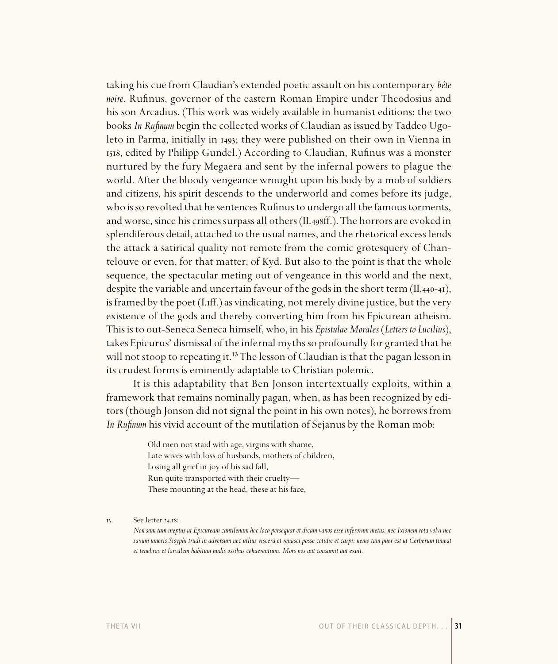taking his cue from Claudian's extended poetic assault on his contemporary *bête noire*, Rufinus, governor of the eastern Roman Empire under Theodosius and his son Arcadius. (This work was widely available in humanist editions: the two books *In Rufinum* begin the collected works of Claudian as issued by Taddeo Ugoleto in Parma, initially in 1493; they were published on their own in Vienna in 1518, edited by Philipp Gundel.) According to Claudian, Rufinus was a monster nurtured by the fury Megaera and sent by the infernal powers to plague the world. After the bloody vengeance wrought upon his body by a mob of soldiers and citizens, his spirit descends to the underworld and comes before its judge, who is so revolted that he sentences Rufinus to undergo all the famous torments, and worse, since his crimes surpass all others  $(II.498ff.)$ . The horrors are evoked in splendiferous detail, attached to the usual names, and the rhetorical excess lends the attack a satirical quality not remote from the comic grotesquery of Chantelouve or even, for that matter, of Kyd. But also to the point is that the whole sequence, the spectacular meting out of vengeance in this world and the next, despite the variable and uncertain favour of the gods in the short term  $(II.440-4I)$ , is framed by the poet (I.ff.) as vindicating, not merely divine justice, but the very existence of the gods and thereby converting him from his Epicurean atheism. This is to out-Seneca Seneca himself, who, in his *Epistulae Morales* (*Letters to Lucilius*), takes Epicurus' dismissal of the infernal myths so profoundly for granted that he will not stoop to repeating it.<sup>13</sup> The lesson of Claudian is that the pagan lesson in its crudest forms is eminently adaptable to Christian polemic.

It is this adaptability that Ben Jonson intertextually exploits, within a framework that remains nominally pagan, when, as has been recognized by editors (though Jonson did not signal the point in his own notes), he borrows from *In Rufinum* his vivid account of the mutilation of Sejanus by the Roman mob:

> Old men not staid with age, virgins with shame, Late wives with loss of husbands, mothers of children, Losing all grief in joy of his sad fall, Run quite transported with their cruelty— These mounting at the head, these at his face,

#### 13. See letter 24.18:

 *Non sum tam ineptus ut Epicuream cantilenam hoc loco persequar et dicam vanos esse inferorum metus, nec Ixionem rota volvi nec saxum umeris Sisyphi trudi in adversum nec ullius viscera et renasci posse cotidie et carpi: nemo tam puer est ut Cerberum timeat et tenebras et larvalem habitum nudis ossibus cohaerentium. Mors nos aut consumit aut exuit.*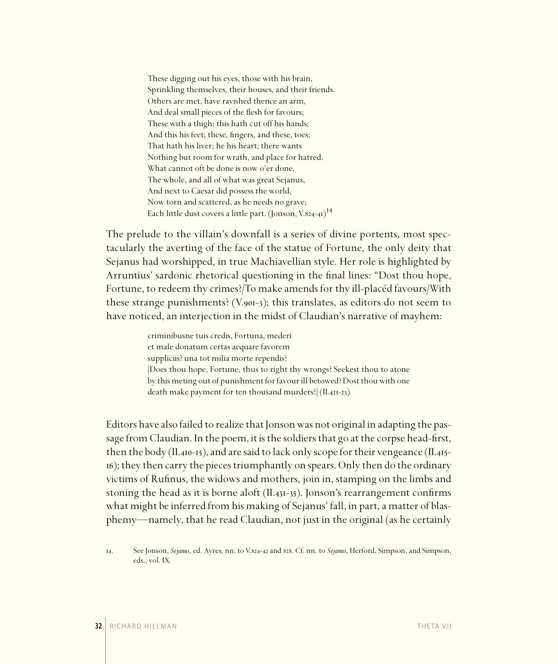These digging out his eyes, those with his brain, Sprinkling themselves, their houses, and their friends. Others are met, have ravished thence an arm, And deal small pieces of the flesh for favours; These with a thigh; this hath cut off his hands; And this his feet; these, fingers, and these, toes; That hath his liver; he his heart; there wants Nothing but room for wrath, and place for hatred. What cannot oft be done is now o'er done. The whole, and all of what was great Sejanus, And next to Caesar did possess the world, Now torn and scattered, as he needs no grave; Each little dust covers a little part. (Jonson, V.824-41)<sup>14</sup>

The prelude to the villain's downfall is a series of divine portents, most spectacularly the averting of the face of the statue of Fortune, the only deity that Sejanus had worshipped, in true Machiavellian style. Her role is highlighted by Arruntius' sardonic rhetorical questioning in the final lines: "Dost thou hope, Fortune, to redeem thy crimes?/To make amends for thy ill-placéd favours/With these strange punishments? ( $V_{.90I-3}$ ); this translates, as editors do not seem to have noticed, an interjection in the midst of Claudian's narrative of mayhem:

> criminibusne tuis credis, Fortuna, mederi et male donatum certas aequare favorem suppliciis? una tot milia morte rependis? [Does thou hope, Fortune, thus to right thy wrongs? Seekest thou to atone by this meting out of punishment for favour ill betowed? Dost thou with one death make payment for ten thousand murders? $(II.42I-23)$

Editors have also failed to realize that Jonson was not original in adapting the passage from Claudian. In the poem, it is the soldiers that go at the corpse head-first, then the body (II.410-15), and are said to lack only scope for their vengeance (II.415-); they then carry the pieces triumphantly on spears. Only then do the ordinary victims of Rufinus, the widows and mothers, join in, stamping on the limbs and stoning the head as it is borne aloft  $(II.43I-35)$ . Jonson's rearrangement confirms what might be inferred from his making of Sejanus' fall, in part, a matter of blasphemy—namely, that he read Claudian, not just in the original (as he certainly

14. See Jonson, *Sejanus*, ed. Ayres, nn. to V.824-42 and 828. Cf. nn. to *Sejanus*, Herford, Simpson, and Simpson, eds., vol. IX.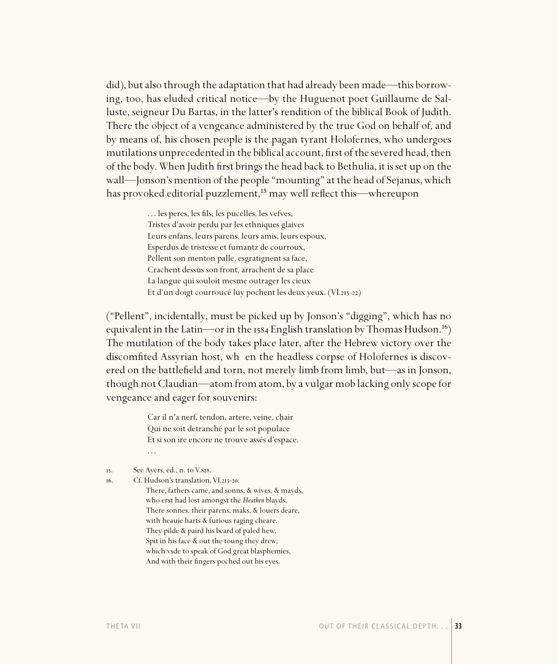did), but also through the adaptation that had already been made—this borrowing, too, has eluded critical notice—by the Huguenot poet Guillaume de Salluste, seigneur Du Bartas, in the latter's rendition of the biblical Book of Judith. There the object of a vengeance administered by the true God on behalf of, and by means of, his chosen people is the pagan tyrant Holofernes, who undergoes mutilations unprecedented in the biblical account, first of the severed head, then of the body. When Judith first brings the head back to Bethulia, it is set up on the wall—Jonson's mention of the people "mounting" at the head of Sejanus, which has provoked editorial puzzlement,<sup>15</sup> may well reflect this—whereupon

> ... les peres, les fils, les pucelles, les vefves, Tristes d'avoir perdu par les ethniques glaives Leurs enfans, leurs parens, leurs amis, leurs espoux, Esperdus de tristesse et fumantz de courroux, Pellent son menton palle, esgratignent sa face, Crachent dessus son front, arrachent de sa place La langue qui souloit mesme outrager les cieux Et d'un doigt courroucé luy pochent les deux yeux. (VI.215-22)

("Pellent", incidentally, must be picked up by Jonson's "digging", which has no equivalent in the Latin—or in the  $1584$  English translation by Thomas Hudson.<sup>16</sup>) The mutilation of the body takes place later, after the Hebrew victory over the discomfited Assyrian host, wh en the headless corpse of Holofernes is discovered on the battlefield and torn, not merely limb from limb, but—as in Jonson, though not Claudian—atom from atom, by a vulgar mob lacking only scope for vengeance and eager for souvenirs:

> Car il n'a nerf, tendon, artere, veine, chair Qui ne soit detranché par le sot populace Et si son ire encore ne trouve assés d'espace. . . .

- 15. See Ayers, ed., n. to V.828.
- 16. Cf. Hudson's translation, VI.213-20: There, fathers came, and sonns, & wives, & mayds, who erst had lost amongst the *Heathen* blayds, There sonnes, their parens, maks, & louers deare, with heauie harts & furious raging cheare. They pilde & paird his beard of paled hew, Spit in his face & out the toung they drew, which vsde to speak of God great blasphemies, And with their fingers poched out his eyes.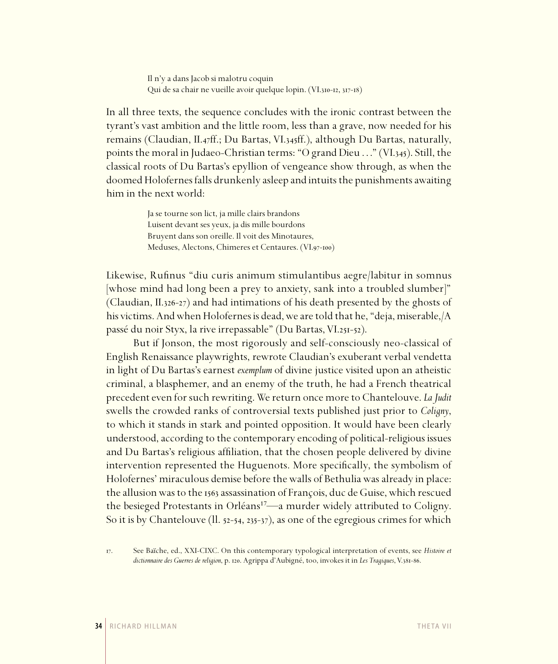Il n'y a dans Jacob si malotru coquin Qui de sa chair ne vueille avoir quelque lopin. (VI.310-12, 317-18)

In all three texts, the sequence concludes with the ironic contrast between the tyrant's vast ambition and the little room, less than a grave, now needed for his remains (Claudian, II.47ff.; Du Bartas, VI.345ff.), although Du Bartas, naturally, points the moral in Judaeo-Christian terms: "O grand Dieu ..." (VI.345). Still, the classical roots of Du Bartas's epyllion of vengeance show through, as when the doomed Holofernes falls drunkenly asleep and intuits the punishments awaiting him in the next world:

> Ja se tourne son lict, ja mille clairs brandons Luisent devant ses yeux, ja dis mille bourdons Bruyent dans son oreille. Il voit des Minotaures, Meduses, Alectons, Chimeres et Centaures. (VI.97-100)

Likewise, Rufinus "diu curis animum stimulantibus aegre/labitur in somnus [whose mind had long been a prey to anxiety, sank into a troubled slumber]" (Claudian, II.326-27) and had intimations of his death presented by the ghosts of his victims. And when Holofernes is dead, we are told that he, "deja, miserable,/A passé du noir Styx, la rive irrepassable" (Du Bartas, VI.251-52).

But if Jonson, the most rigorously and self-consciously neo-classical of English Renaissance playwrights, rewrote Claudian's exuberant verbal vendetta in light of Du Bartas's earnest *exemplum* of divine justice visited upon an atheistic criminal, a blasphemer, and an enemy of the truth, he had a French theatrical precedent even for such rewriting. We return once more to Chantelouve. *La Judit* swells the crowded ranks of controversial texts published just prior to *Coligny*, to which it stands in stark and pointed opposition. It would have been clearly understood, according to the contemporary encoding of political-religious issues and Du Bartas's religious affiliation, that the chosen people delivered by divine intervention represented the Huguenots. More specifically, the symbolism of Holofernes' miraculous demise before the walls of Bethulia was already in place: the allusion was to the 1563 assassination of François, duc de Guise, which rescued the besieged Protestants in Orléans<sup>17</sup>—a murder widely attributed to Coligny. So it is by Chantelouve (ll.  $52-54$ ,  $235-37$ ), as one of the egregious crimes for which

. See Baïche, ed., XXI-CIXC. On this contemporary typological interpretation of events, see *Histoire et dictionnaire des Guerres de religion*, p. 120. Agrippa d'Aubigné, too, invokes it in *Les Tragiques*, V.381-86.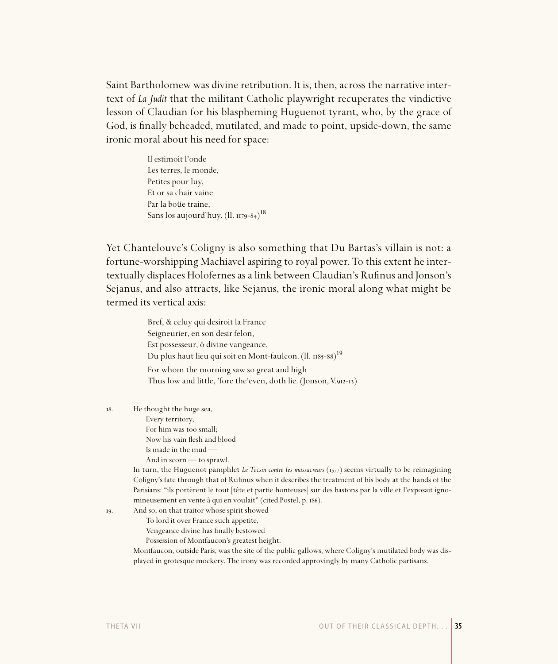Saint Bartholomew was divine retribution. It is, then, across the narrative intertext of *La Judit* that the militant Catholic playwright recuperates the vindictive lesson of Claudian for his blaspheming Huguenot tyrant, who, by the grace of God, is finally beheaded, mutilated, and made to point, upside-down, the same ironic moral about his need for space:

> Il estimoit l'onde Les terres, le monde, Petites pour luy, Et or sa chair vaine Par la boüe traine, Sans los aujourd'huy.  $(II. 1179-84)^{18}$

Yet Chantelouve's Coligny is also something that Du Bartas's villain is not: a fortune-worshipping Machiavel aspiring to royal power. To this extent he intertextually displaces Holofernes as a link between Claudian's Rufinus and Jonson's Sejanus, and also attracts, like Sejanus, the ironic moral along what might be termed its vertical axis:

> Bref, & celuy qui desiroit la France Seigneurier, en son desir felon, Est possesseur, ô divine vangeance, Du plus haut lieu qui soit en Mont-faulcon. (ll. 1185-88)<sup>19</sup> For whom the morning saw so great and high Thus low and little, 'fore the'even, doth lie. (Jonson, V.912-13)

. He thought the huge sea,

 Every territory, For him was too small; Now his vain flesh and blood Is made in the mud —

And in scorn — to sprawl.

In turn, the Huguenot pamphlet *Le Tocsin contre les massacreurs* (1577) seems virtually to be reimagining Coligny's fate through that of Rufinus when it describes the treatment of his body at the hands of the Parisians: "ils portèrent le tout [tête et partie honteuses] sur des bastons par la ville et l'exposait ignomineusement en vente à qui en voulait" (cited Postel, p. 186).

. And so, on that traitor whose spirit showed

To lord it over France such appetite,

Vengeance divine has finally bestowed

Possession of Montfaucon's greatest height.

 Montfaucon, outside Paris, was the site of the public gallows, where Coligny's mutilated body was displayed in grotesque mockery. The irony was recorded approvingly by many Catholic partisans.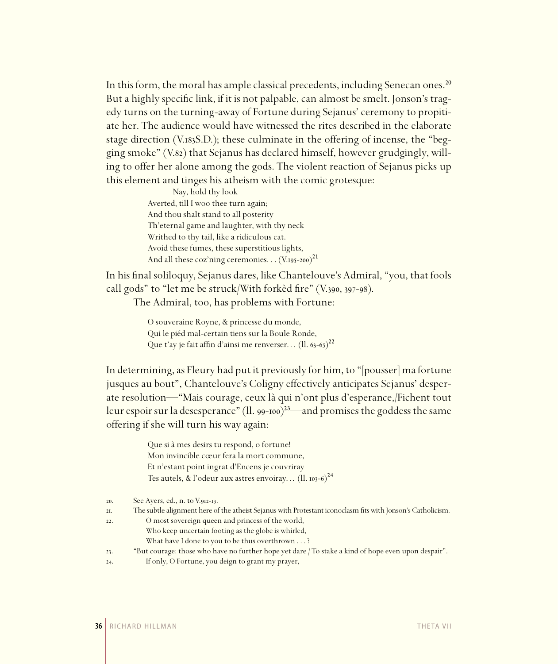In this form, the moral has ample classical precedents, including Senecan ones.<sup>20</sup> But a highly specific link, if it is not palpable, can almost be smelt. Jonson's tragedy turns on the turning-away of Fortune during Sejanus' ceremony to propitiate her. The audience would have witnessed the rites described in the elaborate stage direction (V.183S.D.); these culminate in the offering of incense, the "begging smoke" (V.82) that Sejanus has declared himself, however grudgingly, willing to offer her alone among the gods. The violent reaction of Sejanus picks up this element and tinges his atheism with the comic grotesque:

> Nay, hold thy look Averted, till I woo thee turn again; And thou shalt stand to all posterity Th'eternal game and laughter, with thy neck Writhed to thy tail, like a ridiculous cat. Avoid these fumes, these superstitious lights, And all these coz'ning ceremonies. . .  $(V.195-200)^{21}$

In his final soliloquy, Sejanus dares, like Chantelouve's Admiral, "you, that fools call gods" to "let me be struck/With forkèd fire" (V.390, 397-98).

The Admiral, too, has problems with Fortune:

O souveraine Royne, & princesse du monde, Qui le piéd mal-certain tiens sur la Boule Ronde, Que t'ay je fait affin d'ainsi me renverser...  $(II. 63-65)^{22}$ 

In determining, as Fleury had put it previously for him, to "[pousser] ma fortune jusques au bout", Chantelouve's Coligny effectively anticipates Sejanus' desperate resolution—"Mais courage, ceux là qui n'ont plus d'esperance,/Fichent tout leur espoir sur la desesperance" (ll. 99-100)<sup>23</sup>—and promises the goddess the same offering if she will turn his way again:

> Que si à mes desirs tu respond, o fortune! Mon invincible cœur fera la mort commune, Et n'estant point ingrat d'Encens je couvriray Tes autels, & l'odeur aux astres envoiray...  $(II. 103-6)^{24}$

20. See Ayers, ed., n. to V.912-13.

. The subtle alignment here of the atheist Sejanus with Protestant iconoclasm fits with Jonson's Catholicism.

- . O most sovereign queen and princess of the world, Who keep uncertain footing as the globe is whirled, What have I done to you to be thus overthrown . . .?
- . "But courage: those who have no further hope yet dare / To stake a kind of hope even upon despair".
- . If only, O Fortune, you deign to grant my prayer,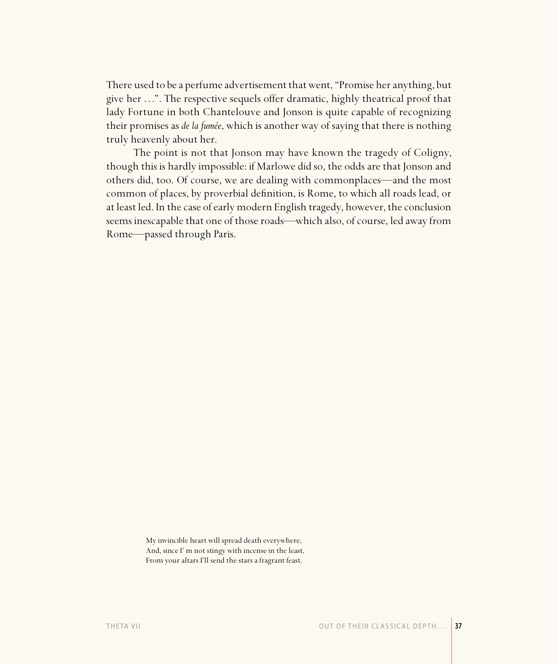There used to be a perfume advertisement that went, "Promise her anything, but give her . . .". The respective sequels offer dramatic, highly theatrical proof that lady Fortune in both Chantelouve and Jonson is quite capable of recognizing their promises as *de la fumée*, which is another way of saying that there is nothing truly heavenly about her.

The point is not that Jonson may have known the tragedy of Coligny, though this is hardly impossible: if Marlowe did so, the odds are that Jonson and others did, too. Of course, we are dealing with commonplaces—and the most common of places, by proverbial definition, is Rome, to which all roads lead, or at least led. In the case of early modern English tragedy, however, the conclusion seems inescapable that one of those roads—which also, of course, led away from Rome—passed through Paris.

> My invincible heart will spread death everywhere, And, since I' m not stingy with incense in the least, From your altars I'll send the stars a fragrant feast.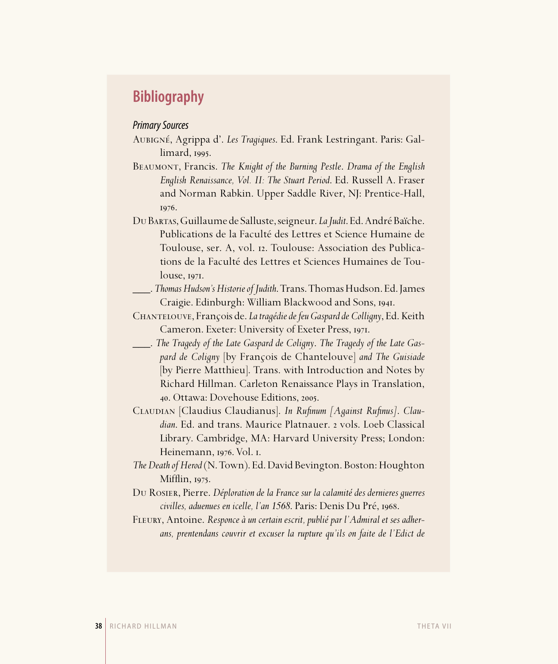# **Bibliography**

# Primary Sources

- Aubigné, Agrippa d'. *Les Tragiques*. Ed. Frank Lestringant. Paris: Gal $limard$ ,  $1995$ .
- Beaumont, Francis. *The Knight of the Burning Pestle*. *Drama of the English English Renaissance, Vol. II: The Stuart Period*. Ed. Russell A. Fraser and Norman Rabkin. Upper Saddle River, NJ: Prentice-Hall, 1976.
- Du Bartas, Guillaume de Salluste, seigneur. *La Judit*. Ed. André Baïche. Publications de la Faculté des Lettres et Science Humaine de Toulouse, ser. A, vol. 12. Toulouse: Association des Publications de la Faculté des Lettres et Sciences Humaines de Tou $l$ ouse,  $197I$ .
- \_\_\_. *Thomas Hudson's Historie of Judith*. Trans. Thomas Hudson. Ed. James Craigie. Edinburgh: William Blackwood and Sons, 1941.
- Chantelouve, François de. *La tragédie de feu Gaspard de Colligny*, Ed. Keith Cameron. Exeter: University of Exeter Press, 1971.
- \_\_\_. *The Tragedy of the Late Gaspard de Coligny*. *The Tragedy of the Late Gaspard de Coligny* [by François de Chantelouve] *and The Guisiade* [by Pierre Matthieu]. Trans. with Introduction and Notes by Richard Hillman. Carleton Renaissance Plays in Translation, 40. Ottawa: Dovehouse Editions, 2005.
- CLAUDIAN Claudius Claudianus. In Rufinum *[Against Rufinus]*. *Claudian*. Ed. and trans. Maurice Platnauer. 2 vols. Loeb Classical Library. Cambridge, MA: Harvard University Press; London: Heinemann, 1976. Vol. I.
- *The Death of Herod* (N. Town). Ed. David Bevington. Boston: Houghton Mifflin, 1975.
- Du Rosier, Pierre. *Déploration de la France sur la calamité des dernieres guerres*  civilles, aduenues en icelle, l'an 1568. Paris: Denis Du Pré, 1968.
- Fleury, Antoine. *Responce à un certain escrit, publié par l'Admiral et ses adher*ans, prentendans couvrir et excuser la rupture qu'ils on faite de l'Edict de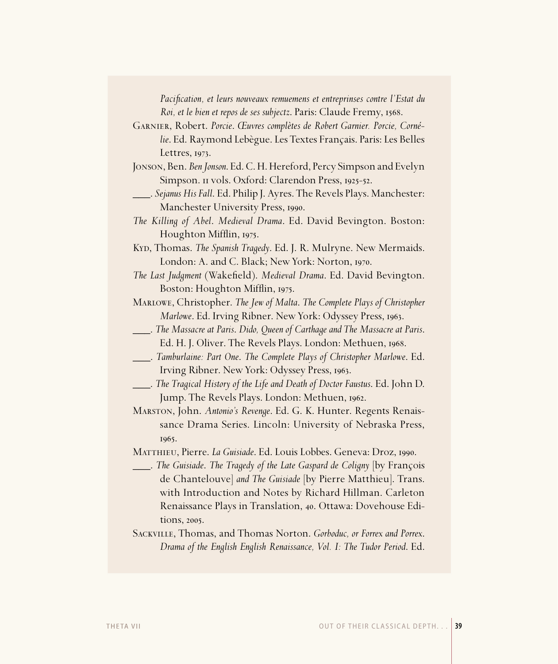*Pacifi cation, et leurs nouveaux remuemens et entreprinses contre l'Estat du Roi, et le bien et repos de ses subjectz. Paris: Claude Fremy, 1568.* 

Garnier, Robert. *Porcie*. *Œuvres complètes de Robert Garnier. Porcie, Cornélie*. Ed. Raymond Lebègue. Les Textes Français. Paris: Les Belles Lettres,  $1973$ .

- Jonson, Ben. *Ben Jonson*. Ed. C. H. Hereford, Percy Simpson and Evelyn Simpson. II vols. Oxford: Clarendon Press, 1925-52.
- \_\_\_. *Sejanus His Fall*. Ed. Philip J. Ayres. The Revels Plays. Manchester: Manchester University Press, 1990.

*The Killing of Abel*. *Medieval Drama*. Ed. David Bevington. Boston: Houghton Mifflin, 1975.

- Kyd, Thomas. *The Spanish Tragedy*. Ed. J. R. Mulryne. New Mermaids. London: A. and C. Black; New York: Norton, 1970.
- *The Last Judgment* (Wakefield). *Medieval Drama*. Ed. David Bevington. Boston: Houghton Mifflin, 1975.

Marlowe, Christopher. *The Jew of Malta*. *The Complete Plays of Christopher Marlowe*. Ed. Irving Ribner. New York: Odyssey Press, 1963.

- \_\_\_. *The Massacre at Paris*. *Dido, Queen of Carthage and The Massacre at Paris*. Ed. H. J. Oliver. The Revels Plays. London: Methuen, 1968.
- \_\_\_. *Tamburlaine: Part One*. *The Complete Plays of Christopher Marlowe*. Ed. Irving Ribner. New York: Odyssey Press, 1963.
- \_\_\_. *The Tragical History of the Life and Death of Doctor Faustus*. Ed. John D. Jump. The Revels Plays. London: Methuen, 1962.

Marston, John. *Antonio's Revenge*. Ed. G. K. Hunter. Regents Renaissance Drama Series. Lincoln: University of Nebraska Press, 1965.

MATTHIEU, Pierre. *La Guisiade*. Ed. Louis Lobbes. Geneva: Droz, 1990.

\_\_\_. *The Guisiade*. *The Tragedy of the Late Gaspard de Coligny* [by François de Chantelouve] *and The Guisiade* [by Pierre Matthieu]. Trans. with Introduction and Notes by Richard Hillman. Carleton Renaissance Plays in Translation, 40. Ottawa: Dovehouse Editions, 2005.

Sackville, Thomas, and Thomas Norton. *Gorboduc, or Forrex and Porrex*. *Drama of the English English Renaissance, Vol. I: The Tudor Period*. Ed.